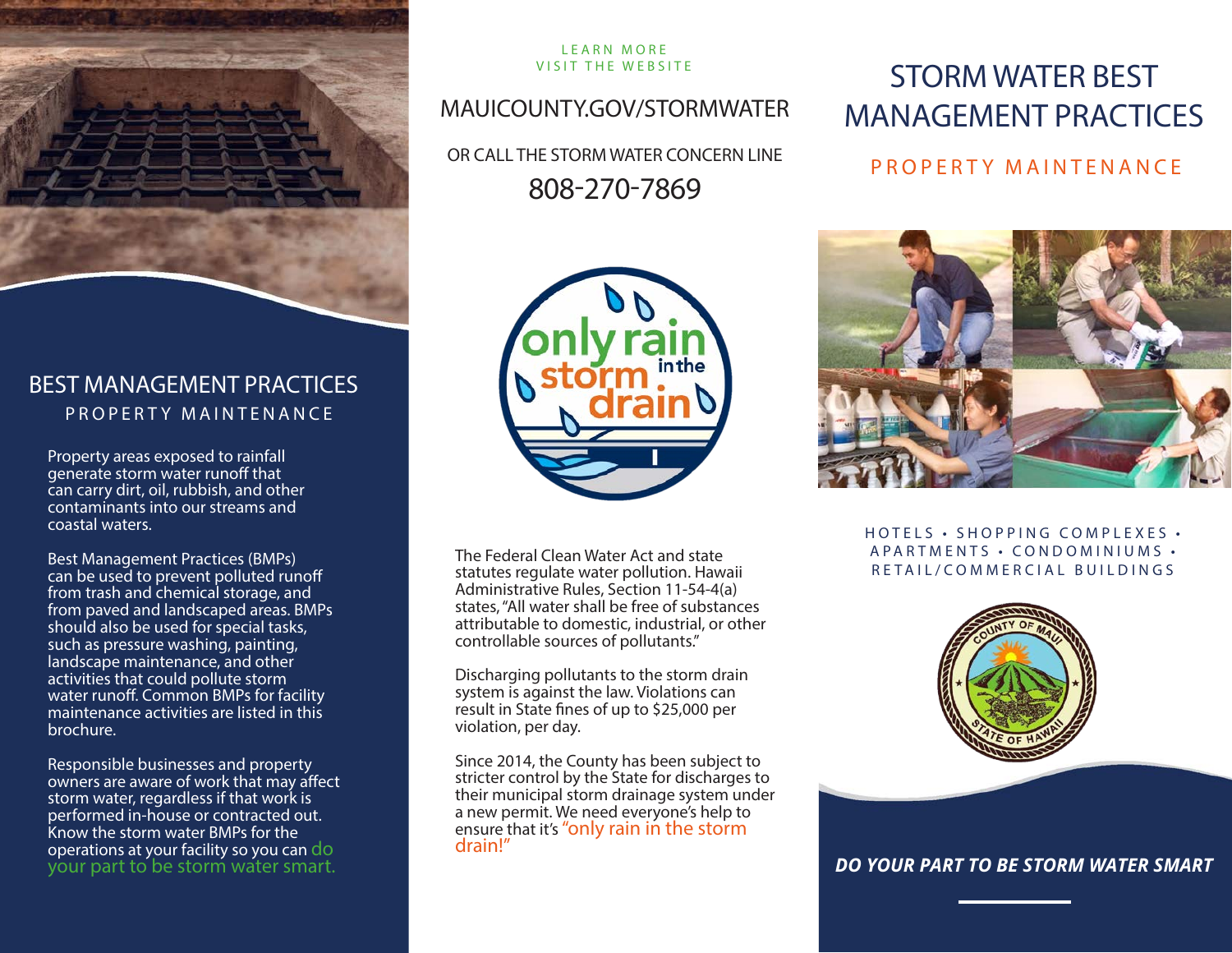

### BEST MANAGEMENT PRACTICES PROPERTY MAINTENANCE

Property areas exposed to rainfall generate storm water runoff that can carry dirt, oil, rubbish, and other contaminants into our streams and coastal waters.

Best Management Practices (BMPs) can be used to prevent polluted runoff from trash and chemical storage, and from paved and landscaped areas. BMPs should also be used for special tasks, such as pressure washing, painting, landscape maintenance, and other activities that could pollute storm water runoff. Common BMPs for facility maintenance activities are listed in this brochure.

Responsible businesses and property owners are aware of work that may affect storm water, regardless if that work is performed in-house or contracted out. Know the storm water BMPs for the operations at your facility so you can do your part to be storm water smart.

# LEARN MORE

### MAUICOUNTY.GOV/STORMWATER

OR CALL THE STORM WATER CONCERN LINE 808-270-7869



The Federal Clean Water Act and state statutes regulate water pollution. Hawaii Administrative Rules, Section 11-54-4(a) states, "All water shall be free of substances attributable to domestic, industrial, or other controllable sources of pollutants."

Discharging pollutants to the storm drain system is against the law. Violations can result in State fines of up to \$25,000 per violation, per day.

Since 2014, the County has been subject to stricter control by the State for discharges to their municipal storm drainage system under a new permit. We need everyone's help to ensure that it's "only rain in the storm<br>drain!"

# VISIT THE WEBSITE STORM WATER BEST MANAGEMENT PRACTICES

### PROPERTY MAINTENANCE



### HOTELS • SHOPPING COMPLEXES • A PARTMENTS · CONDOMINIUMS · RETAIL/COMMERCIAL BUILDINGS



*DO YOUR PART TO BE STORM WATER SMART*